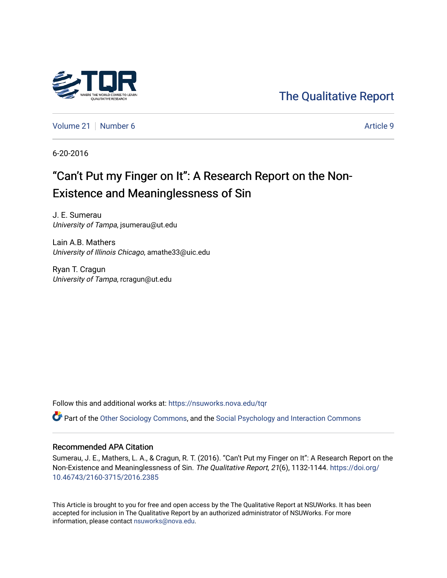

[The Qualitative Report](https://nsuworks.nova.edu/tqr) 

[Volume 21](https://nsuworks.nova.edu/tqr/vol21) | [Number 6](https://nsuworks.nova.edu/tqr/vol21/iss6) Article 9

6-20-2016

# "Can't Put my Finger on It": A Research Report on the Non-Existence and Meaninglessness of Sin

J. E. Sumerau University of Tampa, jsumerau@ut.edu

Lain A.B. Mathers University of Illinois Chicago, amathe33@uic.edu

Ryan T. Cragun University of Tampa, rcragun@ut.edu

Follow this and additional works at: [https://nsuworks.nova.edu/tqr](https://nsuworks.nova.edu/tqr?utm_source=nsuworks.nova.edu%2Ftqr%2Fvol21%2Fiss6%2F9&utm_medium=PDF&utm_campaign=PDFCoverPages) 

Part of the [Other Sociology Commons](http://network.bepress.com/hgg/discipline/434?utm_source=nsuworks.nova.edu%2Ftqr%2Fvol21%2Fiss6%2F9&utm_medium=PDF&utm_campaign=PDFCoverPages), and the [Social Psychology and Interaction Commons](http://network.bepress.com/hgg/discipline/430?utm_source=nsuworks.nova.edu%2Ftqr%2Fvol21%2Fiss6%2F9&utm_medium=PDF&utm_campaign=PDFCoverPages) 

#### Recommended APA Citation

Sumerau, J. E., Mathers, L. A., & Cragun, R. T. (2016). "Can't Put my Finger on It": A Research Report on the Non-Existence and Meaninglessness of Sin. The Qualitative Report, 21(6), 1132-1144. [https://doi.org/](https://doi.org/10.46743/2160-3715/2016.2385) [10.46743/2160-3715/2016.2385](https://doi.org/10.46743/2160-3715/2016.2385)

This Article is brought to you for free and open access by the The Qualitative Report at NSUWorks. It has been accepted for inclusion in The Qualitative Report by an authorized administrator of NSUWorks. For more information, please contact [nsuworks@nova.edu.](mailto:nsuworks@nova.edu)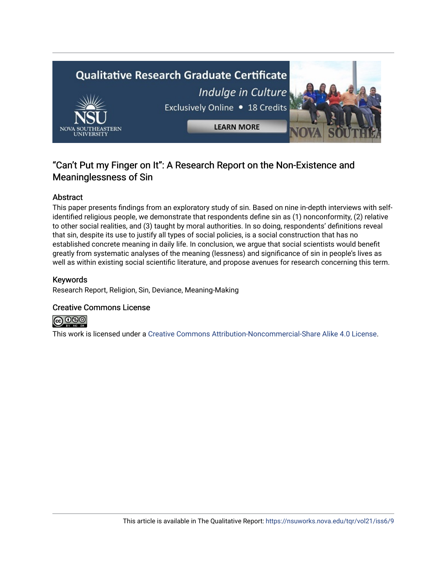

# "Can't Put my Finger on It": A Research Report on the Non-Existence and Meaninglessness of Sin

# Abstract

This paper presents findings from an exploratory study of sin. Based on nine in-depth interviews with selfidentified religious people, we demonstrate that respondents define sin as (1) nonconformity, (2) relative to other social realities, and (3) taught by moral authorities. In so doing, respondents' definitions reveal that sin, despite its use to justify all types of social policies, is a social construction that has no established concrete meaning in daily life. In conclusion, we argue that social scientists would benefit greatly from systematic analyses of the meaning (lessness) and significance of sin in people's lives as well as within existing social scientific literature, and propose avenues for research concerning this term.

### Keywords

Research Report, Religion, Sin, Deviance, Meaning-Making

# Creative Commons License



This work is licensed under a [Creative Commons Attribution-Noncommercial-Share Alike 4.0 License](https://creativecommons.org/licenses/by-nc-sa/4.0/).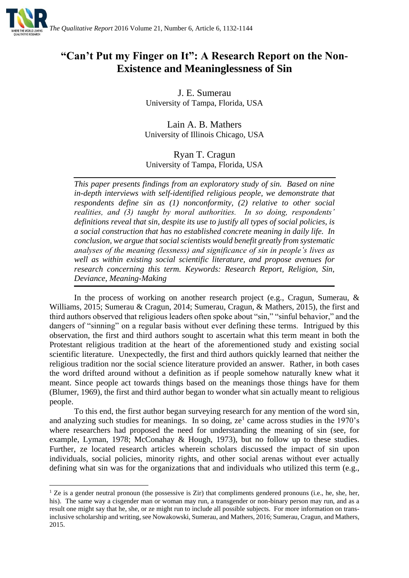

# **"Can't Put my Finger on It": A Research Report on the Non-Existence and Meaninglessness of Sin**

J. E. Sumerau University of Tampa, Florida, USA

Lain A. B. Mathers University of Illinois Chicago, USA

# Ryan T. Cragun University of Tampa, Florida, USA

*This paper presents findings from an exploratory study of sin. Based on nine in-depth interviews with self-identified religious people, we demonstrate that respondents define sin as (1) nonconformity, (2) relative to other social realities, and (3) taught by moral authorities. In so doing, respondents' definitions reveal that sin, despite its use to justify all types of social policies, is a social construction that has no established concrete meaning in daily life. In conclusion, we argue that social scientists would benefit greatly from systematic analyses of the meaning (lessness) and significance of sin in people's lives as well as within existing social scientific literature, and propose avenues for research concerning this term. Keywords: Research Report, Religion, Sin, Deviance, Meaning-Making*

In the process of working on another research project (e.g., Cragun, Sumerau, & Williams, 2015; Sumerau & Cragun, 2014; Sumerau, Cragun, & Mathers, 2015), the first and third authors observed that religious leaders often spoke about "sin," "sinful behavior," and the dangers of "sinning" on a regular basis without ever defining these terms. Intrigued by this observation, the first and third authors sought to ascertain what this term meant in both the Protestant religious tradition at the heart of the aforementioned study and existing social scientific literature. Unexpectedly, the first and third authors quickly learned that neither the religious tradition nor the social science literature provided an answer. Rather, in both cases the word drifted around without a definition as if people somehow naturally knew what it meant. Since people act towards things based on the meanings those things have for them (Blumer, 1969), the first and third author began to wonder what sin actually meant to religious people.

To this end, the first author began surveying research for any mention of the word sin, and analyzing such studies for meanings. In so doing,  $ze<sup>1</sup>$  came across studies in the 1970's where researchers had proposed the need for understanding the meaning of sin (see, for example, Lyman, 1978; McConahay & Hough, 1973), but no follow up to these studies. Further, ze located research articles wherein scholars discussed the impact of sin upon individuals, social policies, minority rights, and other social arenas without ever actually defining what sin was for the organizations that and individuals who utilized this term (e.g.,

1

<sup>&</sup>lt;sup>1</sup> Ze is a gender neutral pronoun (the possessive is Zir) that compliments gendered pronouns (i.e., he, she, her, his). The same way a cisgender man or woman may run, a transgender or non-binary person may run, and as a result one might say that he, she, or ze might run to include all possible subjects. For more information on transinclusive scholarship and writing, see Nowakowski, Sumerau, and Mathers, 2016; Sumerau, Cragun, and Mathers, 2015.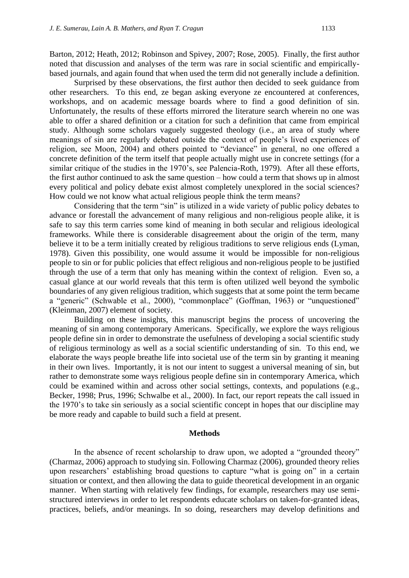Barton, 2012; Heath, 2012; Robinson and Spivey, 2007; Rose, 2005). Finally, the first author noted that discussion and analyses of the term was rare in social scientific and empiricallybased journals, and again found that when used the term did not generally include a definition.

Surprised by these observations, the first author then decided to seek guidance from other researchers. To this end, ze began asking everyone ze encountered at conferences, workshops, and on academic message boards where to find a good definition of sin. Unfortunately, the results of these efforts mirrored the literature search wherein no one was able to offer a shared definition or a citation for such a definition that came from empirical study. Although some scholars vaguely suggested theology (i.e., an area of study where meanings of sin are regularly debated outside the context of people's lived experiences of religion, see Moon, 2004) and others pointed to "deviance" in general, no one offered a concrete definition of the term itself that people actually might use in concrete settings (for a similar critique of the studies in the 1970's, see Palencia-Roth, 1979). After all these efforts, the first author continued to ask the same question – how could a term that shows up in almost every political and policy debate exist almost completely unexplored in the social sciences? How could we not know what actual religious people think the term means?

Considering that the term "sin" is utilized in a wide variety of public policy debates to advance or forestall the advancement of many religious and non-religious people alike, it is safe to say this term carries some kind of meaning in both secular and religious ideological frameworks. While there is considerable disagreement about the origin of the term, many believe it to be a term initially created by religious traditions to serve religious ends (Lyman, 1978). Given this possibility, one would assume it would be impossible for non-religious people to sin or for public policies that effect religious and non-religious people to be justified through the use of a term that only has meaning within the context of religion. Even so, a casual glance at our world reveals that this term is often utilized well beyond the symbolic boundaries of any given religious tradition, which suggests that at some point the term became a "generic" (Schwable et al., 2000), "commonplace" (Goffman, 1963) or "unquestioned" (Kleinman, 2007) element of society.

Building on these insights, this manuscript begins the process of uncovering the meaning of sin among contemporary Americans. Specifically, we explore the ways religious people define sin in order to demonstrate the usefulness of developing a social scientific study of religious terminology as well as a social scientific understanding of sin. To this end, we elaborate the ways people breathe life into societal use of the term sin by granting it meaning in their own lives. Importantly, it is not our intent to suggest a universal meaning of sin, but rather to demonstrate some ways religious people define sin in contemporary America, which could be examined within and across other social settings, contexts, and populations (e.g., Becker, 1998; Prus, 1996; Schwalbe et al., 2000). In fact, our report repeats the call issued in the 1970's to take sin seriously as a social scientific concept in hopes that our discipline may be more ready and capable to build such a field at present.

#### **Methods**

In the absence of recent scholarship to draw upon, we adopted a "grounded theory" (Charmaz, 2006) approach to studying sin. Following Charmaz (2006), grounded theory relies upon researchers' establishing broad questions to capture "what is going on" in a certain situation or context, and then allowing the data to guide theoretical development in an organic manner. When starting with relatively few findings, for example, researchers may use semistructured interviews in order to let respondents educate scholars on taken-for-granted ideas, practices, beliefs, and/or meanings. In so doing, researchers may develop definitions and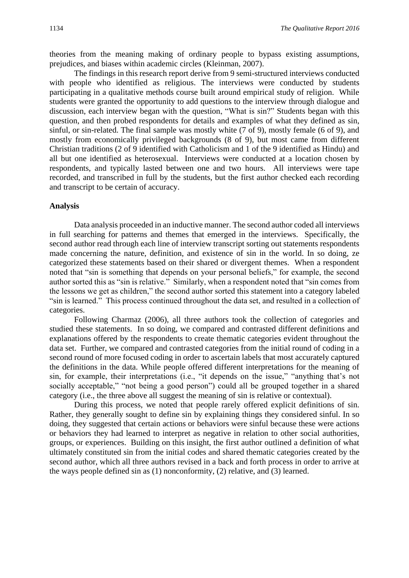theories from the meaning making of ordinary people to bypass existing assumptions, prejudices, and biases within academic circles (Kleinman, 2007).

The findings in this research report derive from 9 semi-structured interviews conducted with people who identified as religious. The interviews were conducted by students participating in a qualitative methods course built around empirical study of religion. While students were granted the opportunity to add questions to the interview through dialogue and discussion, each interview began with the question, "What is sin?" Students began with this question, and then probed respondents for details and examples of what they defined as sin, sinful, or sin-related. The final sample was mostly white (7 of 9), mostly female (6 of 9), and mostly from economically privileged backgrounds (8 of 9), but most came from different Christian traditions (2 of 9 identified with Catholicism and 1 of the 9 identified as Hindu) and all but one identified as heterosexual. Interviews were conducted at a location chosen by respondents, and typically lasted between one and two hours. All interviews were tape recorded, and transcribed in full by the students, but the first author checked each recording and transcript to be certain of accuracy.

#### **Analysis**

Data analysis proceeded in an inductive manner. The second author coded all interviews in full searching for patterns and themes that emerged in the interviews. Specifically, the second author read through each line of interview transcript sorting out statements respondents made concerning the nature, definition, and existence of sin in the world. In so doing, ze categorized these statements based on their shared or divergent themes. When a respondent noted that "sin is something that depends on your personal beliefs," for example, the second author sorted this as "sin is relative." Similarly, when a respondent noted that "sin comes from the lessons we get as children," the second author sorted this statement into a category labeled "sin is learned." This process continued throughout the data set, and resulted in a collection of categories.

Following Charmaz (2006), all three authors took the collection of categories and studied these statements. In so doing, we compared and contrasted different definitions and explanations offered by the respondents to create thematic categories evident throughout the data set. Further, we compared and contrasted categories from the initial round of coding in a second round of more focused coding in order to ascertain labels that most accurately captured the definitions in the data. While people offered different interpretations for the meaning of sin, for example, their interpretations (i.e., "it depends on the issue," "anything that's not socially acceptable," "not being a good person") could all be grouped together in a shared category (i.e., the three above all suggest the meaning of sin is relative or contextual).

During this process, we noted that people rarely offered explicit definitions of sin. Rather, they generally sought to define sin by explaining things they considered sinful. In so doing, they suggested that certain actions or behaviors were sinful because these were actions or behaviors they had learned to interpret as negative in relation to other social authorities, groups, or experiences. Building on this insight, the first author outlined a definition of what ultimately constituted sin from the initial codes and shared thematic categories created by the second author, which all three authors revised in a back and forth process in order to arrive at the ways people defined sin as (1) nonconformity, (2) relative, and (3) learned.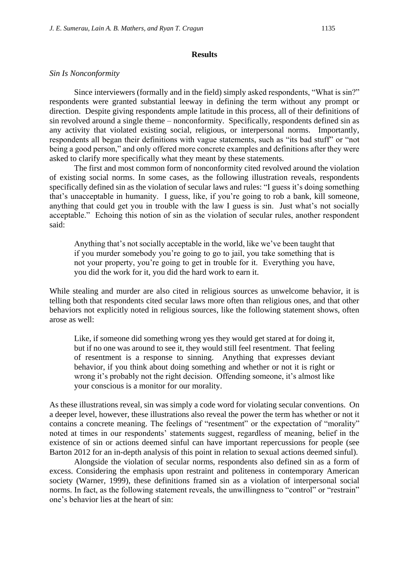#### **Results**

#### *Sin Is Nonconformity*

Since interviewers (formally and in the field) simply asked respondents, "What is sin?" respondents were granted substantial leeway in defining the term without any prompt or direction. Despite giving respondents ample latitude in this process, all of their definitions of sin revolved around a single theme – nonconformity. Specifically, respondents defined sin as any activity that violated existing social, religious, or interpersonal norms. Importantly, respondents all began their definitions with vague statements, such as "its bad stuff" or "not being a good person," and only offered more concrete examples and definitions after they were asked to clarify more specifically what they meant by these statements.

The first and most common form of nonconformity cited revolved around the violation of existing social norms. In some cases, as the following illustration reveals, respondents specifically defined sin as the violation of secular laws and rules: "I guess it's doing something that's unacceptable in humanity. I guess, like, if you're going to rob a bank, kill someone, anything that could get you in trouble with the law I guess is sin. Just what's not socially acceptable." Echoing this notion of sin as the violation of secular rules, another respondent said:

Anything that's not socially acceptable in the world, like we've been taught that if you murder somebody you're going to go to jail, you take something that is not your property, you're going to get in trouble for it. Everything you have, you did the work for it, you did the hard work to earn it.

While stealing and murder are also cited in religious sources as unwelcome behavior, it is telling both that respondents cited secular laws more often than religious ones, and that other behaviors not explicitly noted in religious sources, like the following statement shows, often arose as well:

Like, if someone did something wrong yes they would get stared at for doing it, but if no one was around to see it, they would still feel resentment. That feeling of resentment is a response to sinning. Anything that expresses deviant behavior, if you think about doing something and whether or not it is right or wrong it's probably not the right decision. Offending someone, it's almost like your conscious is a monitor for our morality.

As these illustrations reveal, sin was simply a code word for violating secular conventions. On a deeper level, however, these illustrations also reveal the power the term has whether or not it contains a concrete meaning. The feelings of "resentment" or the expectation of "morality" noted at times in our respondents' statements suggest, regardless of meaning, belief in the existence of sin or actions deemed sinful can have important repercussions for people (see Barton 2012 for an in-depth analysis of this point in relation to sexual actions deemed sinful).

Alongside the violation of secular norms, respondents also defined sin as a form of excess. Considering the emphasis upon restraint and politeness in contemporary American society (Warner, 1999), these definitions framed sin as a violation of interpersonal social norms. In fact, as the following statement reveals, the unwillingness to "control" or "restrain" one's behavior lies at the heart of sin: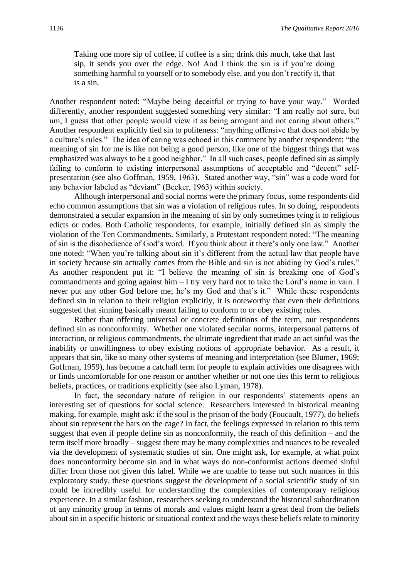Taking one more sip of coffee, if coffee is a sin; drink this much, take that last sip, it sends you over the edge. No! And I think the sin is if you're doing something harmful to yourself or to somebody else, and you don't rectify it, that is a sin.

Another respondent noted: "Maybe being deceitful or trying to have your way." Worded differently, another respondent suggested something very similar: "I am really not sure, but um, I guess that other people would view it as being arrogant and not caring about others." Another respondent explicitly tied sin to politeness: "anything offensive that does not abide by a culture's rules." The idea of caring was echoed in this comment by another respondent: "the meaning of sin for me is like not being a good person, like one of the biggest things that was emphasized was always to be a good neighbor." In all such cases, people defined sin as simply failing to conform to existing interpersonal assumptions of acceptable and "decent" selfpresentation (see also Goffman, 1959, 1963). Stated another way, "sin" was a code word for any behavior labeled as "deviant" (Becker, 1963) within society.

Although interpersonal and social norms were the primary focus, some respondents did echo common assumptions that sin was a violation of religious rules. In so doing, respondents demonstrated a secular expansion in the meaning of sin by only sometimes tying it to religious edicts or codes. Both Catholic respondents, for example, initially defined sin as simply the violation of the Ten Commandments. Similarly, a Protestant respondent noted: "The meaning of sin is the disobedience of God's word. If you think about it there's only one law." Another one noted: "When you're talking about sin it's different from the actual law that people have in society because sin actually comes from the Bible and sin is not abiding by God's rules." As another respondent put it: "I believe the meaning of sin is breaking one of God's commandments and going against him – I try very hard not to take the Lord's name in vain. I never put any other God before me; he's my God and that's it." While these respondents defined sin in relation to their religion explicitly, it is noteworthy that even their definitions suggested that sinning basically meant failing to conform to or obey existing rules.

Rather than offering universal or concrete definitions of the term, our respondents defined sin as nonconformity. Whether one violated secular norms, interpersonal patterns of interaction, or religious commandments, the ultimate ingredient that made an act sinful was the inability or unwillingness to obey existing notions of appropriate behavior. As a result, it appears that sin, like so many other systems of meaning and interpretation (see Blumer, 1969; Goffman, 1959), has become a catchall term for people to explain activities one disagrees with or finds uncomfortable for one reason or another whether or not one ties this term to religious beliefs, practices, or traditions explicitly (see also Lyman, 1978).

In fact, the secondary nature of religion in our respondents' statements opens an interesting set of questions for social science. Researchers interested in historical meaning making, for example, might ask: if the soul is the prison of the body (Foucault, 1977), do beliefs about sin represent the bars on the cage? In fact, the feelings expressed in relation to this term suggest that even if people define sin as nonconformity, the reach of this definition – and the term itself more broadly – suggest there may be many complexities and nuances to be revealed via the development of systematic studies of sin. One might ask, for example, at what point does nonconformity become sin and in what ways do non-conformist actions deemed sinful differ from those not given this label. While we are unable to tease out such nuances in this exploratory study, these questions suggest the development of a social scientific study of sin could be incredibly useful for understanding the complexities of contemporary religious experience. In a similar fashion, researchers seeking to understand the historical subordination of any minority group in terms of morals and values might learn a great deal from the beliefs about sin in a specific historic or situational context and the ways these beliefs relate to minority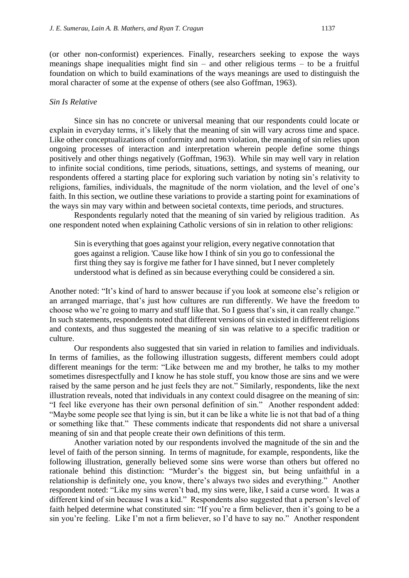(or other non-conformist) experiences. Finally, researchers seeking to expose the ways meanings shape inequalities might find  $sin -$  and other religious terms  $-$  to be a fruitful foundation on which to build examinations of the ways meanings are used to distinguish the moral character of some at the expense of others (see also Goffman, 1963).

#### *Sin Is Relative*

Since sin has no concrete or universal meaning that our respondents could locate or explain in everyday terms, it's likely that the meaning of sin will vary across time and space. Like other conceptualizations of conformity and norm violation, the meaning of sin relies upon ongoing processes of interaction and interpretation wherein people define some things positively and other things negatively (Goffman, 1963). While sin may well vary in relation to infinite social conditions, time periods, situations, settings, and systems of meaning, our respondents offered a starting place for exploring such variation by noting sin's relativity to religions, families, individuals, the magnitude of the norm violation, and the level of one's faith. In this section, we outline these variations to provide a starting point for examinations of the ways sin may vary within and between societal contexts, time periods, and structures.

Respondents regularly noted that the meaning of sin varied by religious tradition. As one respondent noted when explaining Catholic versions of sin in relation to other religions:

Sin is everything that goes against your religion, every negative connotation that goes against a religion. 'Cause like how I think of sin you go to confessional the first thing they say is forgive me father for I have sinned, but I never completely understood what is defined as sin because everything could be considered a sin.

Another noted: "It's kind of hard to answer because if you look at someone else's religion or an arranged marriage, that's just how cultures are run differently. We have the freedom to choose who we're going to marry and stuff like that. So I guess that's sin, it can really change." In such statements, respondents noted that different versions of sin existed in different religions and contexts, and thus suggested the meaning of sin was relative to a specific tradition or culture.

Our respondents also suggested that sin varied in relation to families and individuals. In terms of families, as the following illustration suggests, different members could adopt different meanings for the term: "Like between me and my brother, he talks to my mother sometimes disrespectfully and I know he has stole stuff, you know those are sins and we were raised by the same person and he just feels they are not." Similarly, respondents, like the next illustration reveals, noted that individuals in any context could disagree on the meaning of sin: "I feel like everyone has their own personal definition of sin." Another respondent added: "Maybe some people see that lying is sin, but it can be like a white lie is not that bad of a thing or something like that." These comments indicate that respondents did not share a universal meaning of sin and that people create their own definitions of this term.

Another variation noted by our respondents involved the magnitude of the sin and the level of faith of the person sinning. In terms of magnitude, for example, respondents, like the following illustration, generally believed some sins were worse than others but offered no rationale behind this distinction: "Murder's the biggest sin, but being unfaithful in a relationship is definitely one, you know, there's always two sides and everything." Another respondent noted: "Like my sins weren't bad, my sins were, like, I said a curse word. It was a different kind of sin because I was a kid." Respondents also suggested that a person's level of faith helped determine what constituted sin: "If you're a firm believer, then it's going to be a sin you're feeling. Like I'm not a firm believer, so I'd have to say no." Another respondent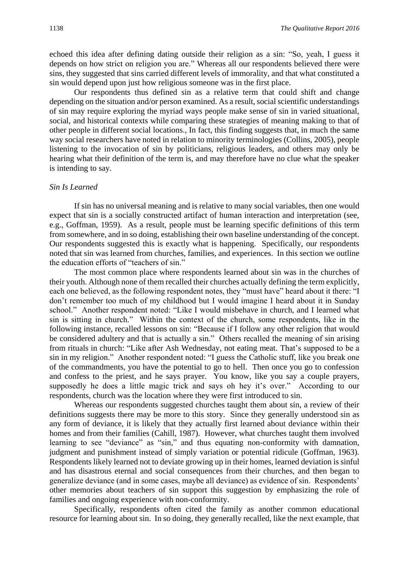echoed this idea after defining dating outside their religion as a sin: "So, yeah, I guess it depends on how strict on religion you are." Whereas all our respondents believed there were sins, they suggested that sins carried different levels of immorality, and that what constituted a sin would depend upon just how religious someone was in the first place.

Our respondents thus defined sin as a relative term that could shift and change depending on the situation and/or person examined. As a result, social scientific understandings of sin may require exploring the myriad ways people make sense of sin in varied situational, social, and historical contexts while comparing these strategies of meaning making to that of other people in different social locations., In fact, this finding suggests that, in much the same way social researchers have noted in relation to minority terminologies (Collins, 2005), people listening to the invocation of sin by politicians, religious leaders, and others may only be hearing what their definition of the term is, and may therefore have no clue what the speaker is intending to say.

#### *Sin Is Learned*

If sin has no universal meaning and is relative to many social variables, then one would expect that sin is a socially constructed artifact of human interaction and interpretation (see, e.g., Goffman, 1959). As a result, people must be learning specific definitions of this term from somewhere, and in so doing, establishing their own baseline understanding of the concept. Our respondents suggested this is exactly what is happening. Specifically, our respondents noted that sin was learned from churches, families, and experiences. In this section we outline the education efforts of "teachers of sin."

The most common place where respondents learned about sin was in the churches of their youth. Although none of them recalled their churches actually defining the term explicitly, each one believed, as the following respondent notes, they "must have" heard about it there: "I don't remember too much of my childhood but I would imagine I heard about it in Sunday school." Another respondent noted: "Like I would misbehave in church, and I learned what sin is sitting in church." Within the context of the church, some respondents, like in the following instance, recalled lessons on sin: "Because if I follow any other religion that would be considered adultery and that is actually a sin." Others recalled the meaning of sin arising from rituals in church: "Like after Ash Wednesday, not eating meat. That's supposed to be a sin in my religion." Another respondent noted: "I guess the Catholic stuff, like you break one of the commandments, you have the potential to go to hell. Then once you go to confession and confess to the priest, and he says prayer. You know, like you say a couple prayers, supposedly he does a little magic trick and says oh hey it's over." According to our respondents, church was the location where they were first introduced to sin.

Whereas our respondents suggested churches taught them about sin, a review of their definitions suggests there may be more to this story. Since they generally understood sin as any form of deviance, it is likely that they actually first learned about deviance within their homes and from their families (Cahill, 1987). However, what churches taught them involved learning to see "deviance" as "sin," and thus equating non-conformity with damnation, judgment and punishment instead of simply variation or potential ridicule (Goffman, 1963). Respondents likely learned not to deviate growing up in their homes, learned deviation is sinful and has disastrous eternal and social consequences from their churches, and then began to generalize deviance (and in some cases, maybe all deviance) as evidence of sin. Respondents' other memories about teachers of sin support this suggestion by emphasizing the role of families and ongoing experience with non-conformity.

Specifically, respondents often cited the family as another common educational resource for learning about sin. In so doing, they generally recalled, like the next example, that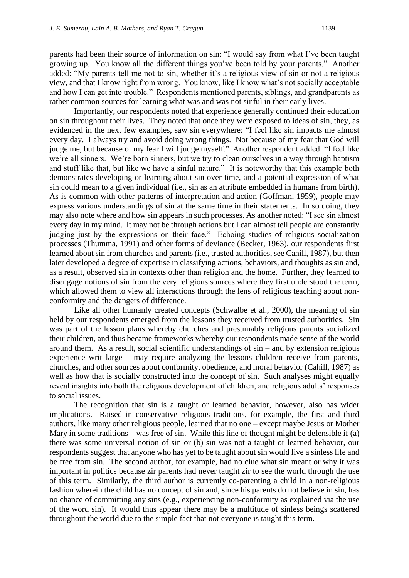parents had been their source of information on sin: "I would say from what I've been taught growing up. You know all the different things you've been told by your parents." Another added: "My parents tell me not to sin, whether it's a religious view of sin or not a religious view, and that I know right from wrong. You know, like I know what's not socially acceptable and how I can get into trouble." Respondents mentioned parents, siblings, and grandparents as rather common sources for learning what was and was not sinful in their early lives.

Importantly, our respondents noted that experience generally continued their education on sin throughout their lives. They noted that once they were exposed to ideas of sin, they, as evidenced in the next few examples, saw sin everywhere: "I feel like sin impacts me almost every day. I always try and avoid doing wrong things. Not because of my fear that God will judge me, but because of my fear I will judge myself." Another respondent added: "I feel like we're all sinners. We're born sinners, but we try to clean ourselves in a way through baptism and stuff like that, but like we have a sinful nature." It is noteworthy that this example both demonstrates developing or learning about sin over time, and a potential expression of what sin could mean to a given individual (i.e., sin as an attribute embedded in humans from birth). As is common with other patterns of interpretation and action (Goffman, 1959), people may express various understandings of sin at the same time in their statements. In so doing, they may also note where and how sin appears in such processes. As another noted: "I see sin almost every day in my mind. It may not be through actions but I can almost tell people are constantly judging just by the expressions on their face." Echoing studies of religious socialization processes (Thumma, 1991) and other forms of deviance (Becker, 1963), our respondents first learned about sin from churches and parents (i.e., trusted authorities, see Cahill, 1987), but then later developed a degree of expertise in classifying actions, behaviors, and thoughts as sin and, as a result, observed sin in contexts other than religion and the home. Further, they learned to disengage notions of sin from the very religious sources where they first understood the term, which allowed them to view all interactions through the lens of religious teaching about nonconformity and the dangers of difference.

Like all other humanly created concepts (Schwalbe et al., 2000), the meaning of sin held by our respondents emerged from the lessons they received from trusted authorities. Sin was part of the lesson plans whereby churches and presumably religious parents socialized their children, and thus became frameworks whereby our respondents made sense of the world around them. As a result, social scientific understandings of sin – and by extension religious experience writ large – may require analyzing the lessons children receive from parents, churches, and other sources about conformity, obedience, and moral behavior (Cahill, 1987) as well as how that is socially constructed into the concept of sin. Such analyses might equally reveal insights into both the religious development of children, and religious adults' responses to social issues.

The recognition that sin is a taught or learned behavior, however, also has wider implications. Raised in conservative religious traditions, for example, the first and third authors, like many other religious people, learned that no one – except maybe Jesus or Mother Mary in some traditions – was free of sin. While this line of thought might be defensible if (a) there was some universal notion of sin or (b) sin was not a taught or learned behavior, our respondents suggest that anyone who has yet to be taught about sin would live a sinless life and be free from sin. The second author, for example, had no clue what sin meant or why it was important in politics because zir parents had never taught zir to see the world through the use of this term. Similarly, the third author is currently co-parenting a child in a non-religious fashion wherein the child has no concept of sin and, since his parents do not believe in sin, has no chance of committing any sins (e.g., experiencing non-conformity as explained via the use of the word sin). It would thus appear there may be a multitude of sinless beings scattered throughout the world due to the simple fact that not everyone is taught this term.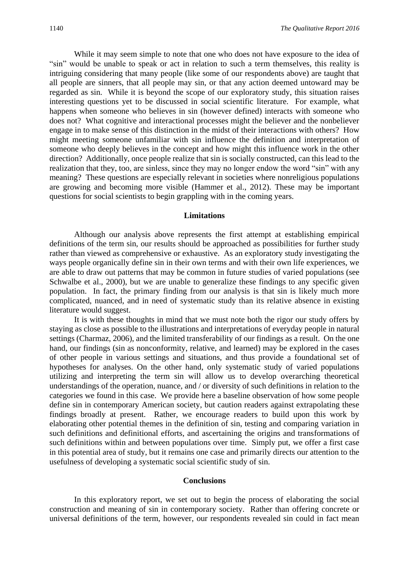While it may seem simple to note that one who does not have exposure to the idea of "sin" would be unable to speak or act in relation to such a term themselves, this reality is intriguing considering that many people (like some of our respondents above) are taught that all people are sinners, that all people may sin, or that any action deemed untoward may be regarded as sin. While it is beyond the scope of our exploratory study, this situation raises interesting questions yet to be discussed in social scientific literature. For example, what happens when someone who believes in sin (however defined) interacts with someone who does not? What cognitive and interactional processes might the believer and the nonbeliever engage in to make sense of this distinction in the midst of their interactions with others? How might meeting someone unfamiliar with sin influence the definition and interpretation of someone who deeply believes in the concept and how might this influence work in the other direction? Additionally, once people realize that sin is socially constructed, can this lead to the realization that they, too, are sinless, since they may no longer endow the word "sin" with any meaning? These questions are especially relevant in societies where nonreligious populations are growing and becoming more visible (Hammer et al., 2012). These may be important questions for social scientists to begin grappling with in the coming years.

### **Limitations**

Although our analysis above represents the first attempt at establishing empirical definitions of the term sin, our results should be approached as possibilities for further study rather than viewed as comprehensive or exhaustive. As an exploratory study investigating the ways people organically define sin in their own terms and with their own life experiences, we are able to draw out patterns that may be common in future studies of varied populations (see Schwalbe et al., 2000), but we are unable to generalize these findings to any specific given population. In fact, the primary finding from our analysis is that sin is likely much more complicated, nuanced, and in need of systematic study than its relative absence in existing literature would suggest.

It is with these thoughts in mind that we must note both the rigor our study offers by staying as close as possible to the illustrations and interpretations of everyday people in natural settings (Charmaz, 2006), and the limited transferability of our findings as a result. On the one hand, our findings (sin as nonconformity, relative, and learned) may be explored in the cases of other people in various settings and situations, and thus provide a foundational set of hypotheses for analyses. On the other hand, only systematic study of varied populations utilizing and interpreting the term sin will allow us to develop overarching theoretical understandings of the operation, nuance, and / or diversity of such definitions in relation to the categories we found in this case. We provide here a baseline observation of how some people define sin in contemporary American society, but caution readers against extrapolating these findings broadly at present. Rather, we encourage readers to build upon this work by elaborating other potential themes in the definition of sin, testing and comparing variation in such definitions and definitional efforts, and ascertaining the origins and transformations of such definitions within and between populations over time. Simply put, we offer a first case in this potential area of study, but it remains one case and primarily directs our attention to the usefulness of developing a systematic social scientific study of sin.

#### **Conclusions**

In this exploratory report, we set out to begin the process of elaborating the social construction and meaning of sin in contemporary society. Rather than offering concrete or universal definitions of the term, however, our respondents revealed sin could in fact mean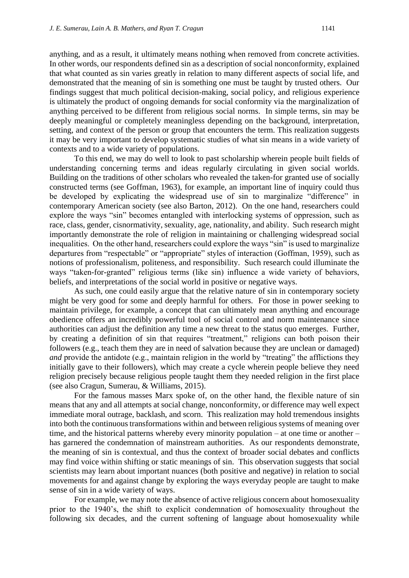anything, and as a result, it ultimately means nothing when removed from concrete activities. In other words, our respondents defined sin as a description of social nonconformity, explained that what counted as sin varies greatly in relation to many different aspects of social life, and demonstrated that the meaning of sin is something one must be taught by trusted others. Our findings suggest that much political decision-making, social policy, and religious experience is ultimately the product of ongoing demands for social conformity via the marginalization of anything perceived to be different from religious social norms. In simple terms, sin may be deeply meaningful or completely meaningless depending on the background, interpretation, setting, and context of the person or group that encounters the term. This realization suggests it may be very important to develop systematic studies of what sin means in a wide variety of contexts and to a wide variety of populations.

To this end, we may do well to look to past scholarship wherein people built fields of understanding concerning terms and ideas regularly circulating in given social worlds. Building on the traditions of other scholars who revealed the taken-for granted use of socially constructed terms (see Goffman, 1963), for example, an important line of inquiry could thus be developed by explicating the widespread use of sin to marginalize "difference" in contemporary American society (see also Barton, 2012). On the one hand, researchers could explore the ways "sin" becomes entangled with interlocking systems of oppression, such as race, class, gender, cisnormativity, sexuality, age, nationality, and ability. Such research might importantly demonstrate the role of religion in maintaining or challenging widespread social inequalities. On the other hand, researchers could explore the ways "sin" is used to marginalize departures from "respectable" or "appropriate" styles of interaction (Goffman, 1959), such as notions of professionalism, politeness, and responsibility. Such research could illuminate the ways "taken-for-granted" religious terms (like sin) influence a wide variety of behaviors, beliefs, and interpretations of the social world in positive or negative ways.

As such, one could easily argue that the relative nature of sin in contemporary society might be very good for some and deeply harmful for others. For those in power seeking to maintain privilege, for example, a concept that can ultimately mean anything and encourage obedience offers an incredibly powerful tool of social control and norm maintenance since authorities can adjust the definition any time a new threat to the status quo emerges. Further, by creating a definition of sin that requires "treatment," religions can both poison their followers (e.g., teach them they are in need of salvation because they are unclean or damaged) *and* provide the antidote (e.g., maintain religion in the world by "treating" the afflictions they initially gave to their followers), which may create a cycle wherein people believe they need religion precisely because religious people taught them they needed religion in the first place (see also Cragun, Sumerau, & Williams, 2015).

For the famous masses Marx spoke of, on the other hand, the flexible nature of sin means that any and all attempts at social change, nonconformity, or difference may well expect immediate moral outrage, backlash, and scorn. This realization may hold tremendous insights into both the continuous transformations within and between religious systems of meaning over time, and the historical patterns whereby every minority population – at one time or another – has garnered the condemnation of mainstream authorities. As our respondents demonstrate, the meaning of sin is contextual, and thus the context of broader social debates and conflicts may find voice within shifting or static meanings of sin. This observation suggests that social scientists may learn about important nuances (both positive and negative) in relation to social movements for and against change by exploring the ways everyday people are taught to make sense of sin in a wide variety of ways.

For example, we may note the absence of active religious concern about homosexuality prior to the 1940's, the shift to explicit condemnation of homosexuality throughout the following six decades, and the current softening of language about homosexuality while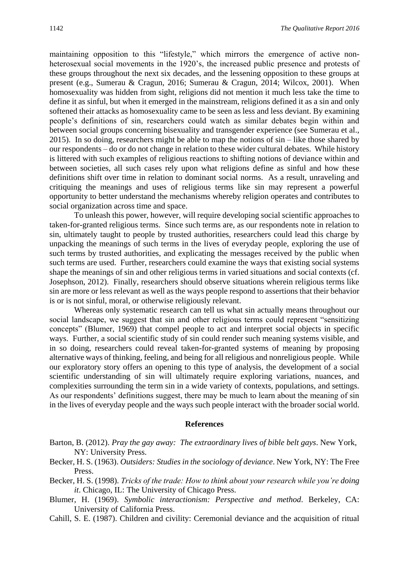maintaining opposition to this "lifestyle," which mirrors the emergence of active nonheterosexual social movements in the 1920's, the increased public presence and protests of these groups throughout the next six decades, and the lessening opposition to these groups at present (e.g., Sumerau & Cragun, 2016; Sumerau & Cragun, 2014; Wilcox, 2001). When homosexuality was hidden from sight, religions did not mention it much less take the time to define it as sinful, but when it emerged in the mainstream, religions defined it as a sin and only softened their attacks as homosexuality came to be seen as less and less deviant. By examining people's definitions of sin, researchers could watch as similar debates begin within and between social groups concerning bisexuality and transgender experience (see Sumerau et al., 2015). In so doing, researchers might be able to map the notions of sin – like those shared by our respondents – do or do not change in relation to these wider cultural debates. While history is littered with such examples of religious reactions to shifting notions of deviance within and between societies, all such cases rely upon what religions define as sinful and how these definitions shift over time in relation to dominant social norms. As a result, unraveling and critiquing the meanings and uses of religious terms like sin may represent a powerful opportunity to better understand the mechanisms whereby religion operates and contributes to social organization across time and space.

To unleash this power, however, will require developing social scientific approaches to taken-for-granted religious terms. Since such terms are, as our respondents note in relation to sin, ultimately taught to people by trusted authorities, researchers could lead this charge by unpacking the meanings of such terms in the lives of everyday people, exploring the use of such terms by trusted authorities, and explicating the messages received by the public when such terms are used. Further, researchers could examine the ways that existing social systems shape the meanings of sin and other religious terms in varied situations and social contexts (cf. Josephson, 2012). Finally, researchers should observe situations wherein religious terms like sin are more or less relevant as well as the ways people respond to assertions that their behavior is or is not sinful, moral, or otherwise religiously relevant.

Whereas only systematic research can tell us what sin actually means throughout our social landscape, we suggest that sin and other religious terms could represent "sensitizing concepts" (Blumer, 1969) that compel people to act and interpret social objects in specific ways. Further, a social scientific study of sin could render such meaning systems visible, and in so doing, researchers could reveal taken-for-granted systems of meaning by proposing alternative ways of thinking, feeling, and being for all religious and nonreligious people. While our exploratory story offers an opening to this type of analysis, the development of a social scientific understanding of sin will ultimately require exploring variations, nuances, and complexities surrounding the term sin in a wide variety of contexts, populations, and settings. As our respondents' definitions suggest, there may be much to learn about the meaning of sin in the lives of everyday people and the ways such people interact with the broader social world.

#### **References**

- Barton, B. (2012). *Pray the gay away: The extraordinary lives of bible belt gays*. New York, NY: University Press.
- Becker, H. S. (1963). *Outsiders: Studies in the sociology of deviance*. New York, NY: The Free Press.
- Becker, H. S. (1998). *Tricks of the trade: How to think about your research while you're doing it*. Chicago, IL: The University of Chicago Press.
- Blumer, H. (1969). *Symbolic interactionism: Perspective and method*. Berkeley, CA: University of California Press.
- Cahill, S. E. (1987). Children and civility: Ceremonial deviance and the acquisition of ritual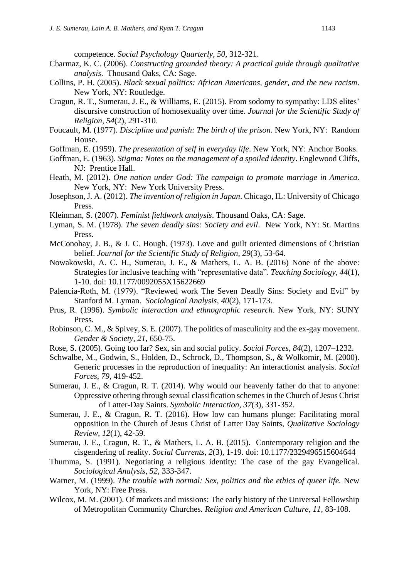competence. *Social Psychology Quarterly, 50,* 312-321.

- Charmaz, K. C. (2006). *Constructing grounded theory: A practical guide through qualitative analysis*. Thousand Oaks, CA: Sage.
- Collins, P. H. (2005). *Black sexual politics: African Americans, gender, and the new racism*. New York, NY: Routledge.
- Cragun, R. T., Sumerau, J. E., & Williams, E. (2015). From sodomy to sympathy: LDS elites' discursive construction of homosexuality over time. *Journal for the Scientific Study of Religion, 54*(2), 291-310.
- Foucault, M. (1977). *Discipline and punish: The birth of the prison*. New York, NY: Random House.
- Goffman, E. (1959). *The presentation of self in everyday life*. New York, NY: Anchor Books.
- Goffman, E. (1963). *Stigma: Notes on the management of a spoiled identity*. Englewood Cliffs, NJ: Prentice Hall.
- Heath, M. (2012). *One nation under God: The campaign to promote marriage in America*. New York, NY: New York University Press.
- Josephson, J. A. (2012). *The invention of religion in Japan*. Chicago, IL: University of Chicago Press.
- Kleinman, S. (2007). *Feminist fieldwork analysis*. Thousand Oaks, CA: Sage.
- Lyman, S. M. (1978). *The seven deadly sins: Society and evil*. New York, NY: St. Martins Press.
- McConohay, J. B., & J. C. Hough. (1973). Love and guilt oriented dimensions of Christian belief. *Journal for the Scientific Study of Religion, 29*(3), 53-64.
- Nowakowski, A. C. H., Sumerau, J. E., & Mathers, L. A. B. (2016) None of the above: Strategies for inclusive teaching with "representative data". *Teaching Sociology, 44*(1), 1-10. doi: 10.1177/0092055X15622669
- Palencia-Roth, M. (1979). "Reviewed work The Seven Deadly Sins: Society and Evil" by Stanford M. Lyman. *Sociological Analysis, 40*(2), 171-173.
- Prus, R. (1996). *Symbolic interaction and ethnographic research*. New York, NY: SUNY Press.
- Robinson, C. M., & Spivey, S. E. (2007). The politics of masculinity and the ex-gay movement. *Gender & Society, 21*, 650-75.
- Rose, S. (2005). Going too far? Sex, sin and social policy. *Social Forces, 84*(2), 1207–1232.
- Schwalbe, M., Godwin, S., Holden, D., Schrock, D., Thompson, S., & Wolkomir, M. (2000). Generic processes in the reproduction of inequality: An interactionist analysis. *Social Forces, 79,* 419-452.
- Sumerau, J. E., & Cragun, R. T. (2014). Why would our heavenly father do that to anyone: Oppressive othering through sexual classification schemes in the Church of Jesus Christ of Latter-Day Saints. *Symbolic Interaction, 37*(3), 331-352.
- Sumerau, J. E., & Cragun, R. T. (2016). How low can humans plunge: Facilitating moral opposition in the Church of Jesus Christ of Latter Day Saints, *Qualitative Sociology Review, 12*(1), 42-59*.*
- Sumerau, J. E., Cragun, R. T., & Mathers, L. A. B. (2015). Contemporary religion and the cisgendering of reality. *Social Currents*, *2*(3), 1-19. doi: 10.1177/2329496515604644
- Thumma, S. (1991). Negotiating a religious identity: The case of the gay Evangelical. *Sociological Analysis*, *52*, 333-347.
- Warner, M. (1999). *The trouble with normal: Sex, politics and the ethics of queer life.* New York, NY: Free Press.
- Wilcox, M. M. (2001). Of markets and missions: The early history of the Universal Fellowship of Metropolitan Community Churches. *Religion and American Culture, 11,* 83-108.